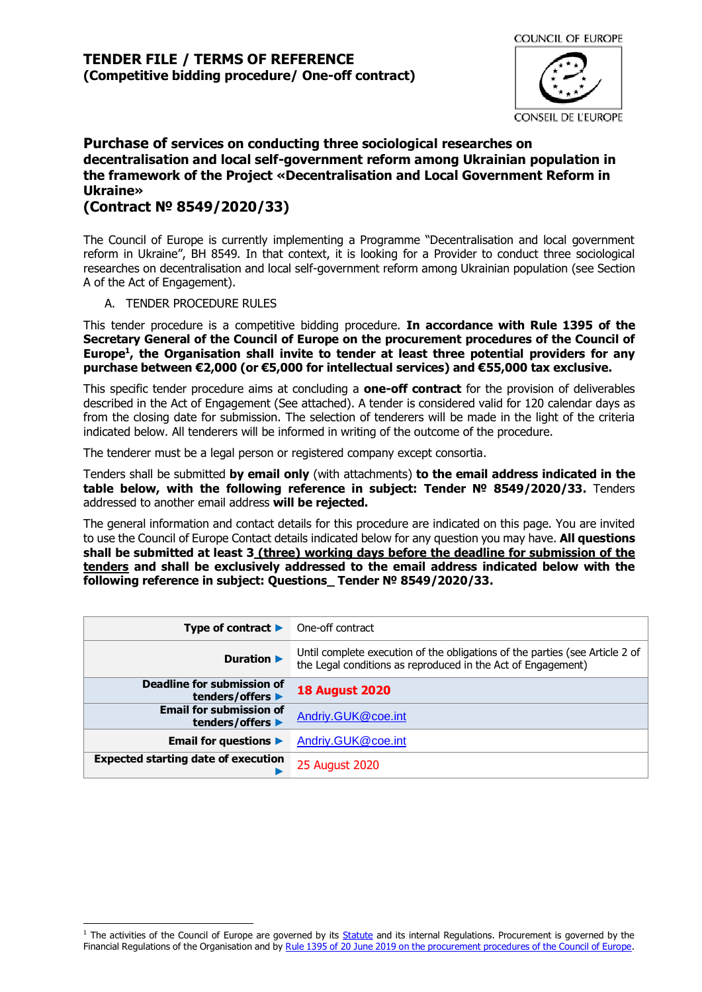

# **Purchase of services on conducting three sociological researches on decentralisation and local self-government reform among Ukrainian population in the framework of the Project «Decentralisation and Local Government Reform in Ukraine»**

## **(Contract № 8549/2020/33)**

The Council of Europe is currently implementing a Programme "Decentralisation and local government reform in Ukraine", BH 8549. In that context, it is looking for a Provider to conduct three sociological researches on decentralisation and local self-government reform among Ukrainian population (see Section A of the Act of Engagement).

#### A. TENDER PROCEDURE RULES

This tender procedure is a competitive bidding procedure. **In accordance with Rule 1395 of the Secretary General of the Council of Europe on the procurement procedures of the Council of Europe<sup>1</sup> , the Organisation shall invite to tender at least three potential providers for any purchase between €2,000 (or €5,000 for intellectual services) and €55,000 tax exclusive.**

This specific tender procedure aims at concluding a **one-off contract** for the provision of deliverables described in the Act of Engagement (See attached). A tender is considered valid for 120 calendar days as from the closing date for submission. The selection of tenderers will be made in the light of the criteria indicated below. All tenderers will be informed in writing of the outcome of the procedure.

The tenderer must be a legal person or registered company except consortia.

Tenders shall be submitted **by email only** (with attachments) **to the email address indicated in the table below, with the following reference in subject: Tender № 8549/2020/33.** Tenders addressed to another email address **will be rejected.**

The general information and contact details for this procedure are indicated on this page. You are invited to use the Council of Europe Contact details indicated below for any question you may have. **All questions shall be submitted at least 3 (three) working days before the deadline for submission of the tenders and shall be exclusively addressed to the email address indicated below with the following reference in subject: Questions\_ Tender № 8549/2020/33.**

| Type of contract $\blacktriangleright$             | One-off contract                                                                                                                             |
|----------------------------------------------------|----------------------------------------------------------------------------------------------------------------------------------------------|
| Duration $\blacktriangleright$                     | Until complete execution of the obligations of the parties (see Article 2 of<br>the Legal conditions as reproduced in the Act of Engagement) |
| Deadline for submission of<br>tenders/offers ▶     | <b>18 August 2020</b>                                                                                                                        |
| <b>Email for submission of</b><br>tenders/offers ▶ | Andriy.GUK@coe.int                                                                                                                           |
| Email for questions $\blacktriangleright$          | Andriy.GUK@coe.int                                                                                                                           |
| <b>Expected starting date of execution</b>         | 25 August 2020                                                                                                                               |

<sup>&</sup>lt;sup>1</sup> The activities of the Council of Europe are governed by its **Statute** and its internal Regulations. Procurement is governed by the Financial Regulations of the Organisation and by Rule 1395 of 20 June 2019 [on the procurement procedures of the Council of Europe.](https://search.coe.int/intranet/Pages/result_details.aspx?ObjectId=090000168094853e)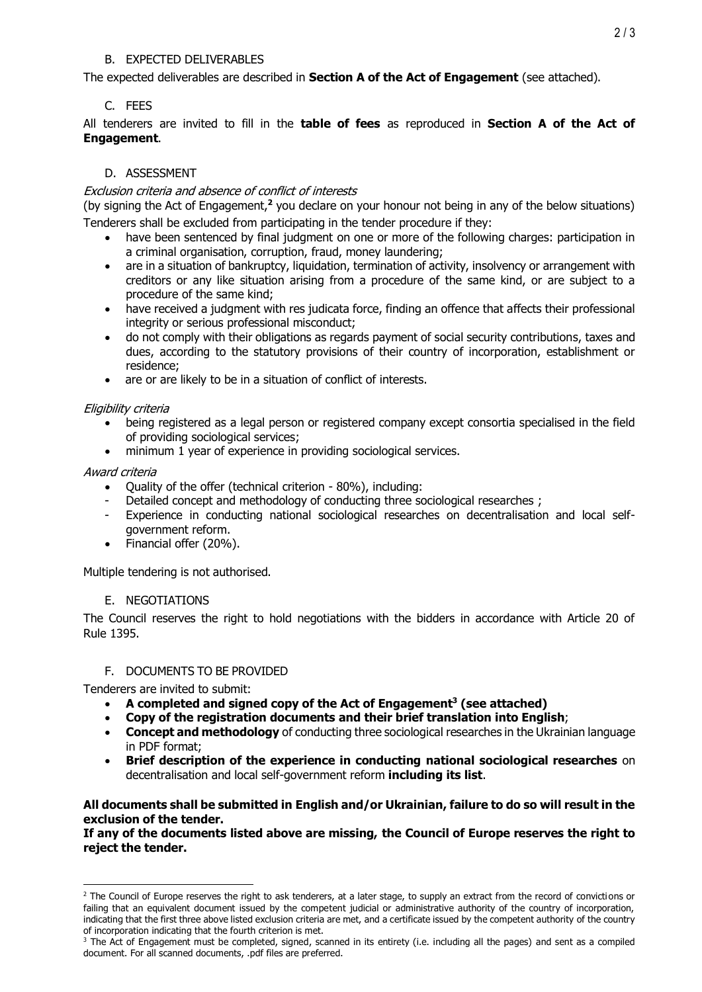#### B. EXPECTED DELIVERABLES

The expected deliverables are described in **Section A of the Act of Engagement** (see attached).

## C. FEES

All tenderers are invited to fill in the **table of fees** as reproduced in **Section A of the Act of Engagement**.

## D. ASSESSMENT

#### Exclusion criteria and absence of conflict of interests

(by signing the Act of Engagement,**<sup>2</sup>** you declare on your honour not being in any of the below situations) Tenderers shall be excluded from participating in the tender procedure if they:

- have been sentenced by final judgment on one or more of the following charges: participation in a criminal organisation, corruption, fraud, money laundering;
- are in a situation of bankruptcy, liquidation, termination of activity, insolvency or arrangement with creditors or any like situation arising from a procedure of the same kind, or are subject to a procedure of the same kind;
- have received a judgment with res judicata force, finding an offence that affects their professional integrity or serious professional misconduct;
- do not comply with their obligations as regards payment of social security contributions, taxes and dues, according to the statutory provisions of their country of incorporation, establishment or residence;
- are or are likely to be in a situation of conflict of interests.

## Eligibility criteria

- being registered as a legal person or registered company except consortia specialised in the field of providing sociological services;
- minimum 1 year of experience in providing sociological services.

## Award criteria

- Quality of the offer (technical criterion 80%), including:
- Detailed concept and methodology of conducting three sociological researches ;
- Experience in conducting national sociological researches on decentralisation and local selfgovernment reform.
- Financial offer (20%).

Multiple tendering is not authorised.

## E. NEGOTIATIONS

The Council reserves the right to hold negotiations with the bidders in accordance with Article 20 of Rule 1395.

## F. DOCUMENTS TO BE PROVIDED

Tenderers are invited to submit:

- **A completed and signed copy of the Act of Engagement<sup>3</sup> (see attached)**
- **Copy of the registration documents and their brief translation into English**;
- **Concept and methodology** of conducting three sociological researches in the Ukrainian language in PDF format;
- **Brief description of the experience in conducting national sociological researches** on decentralisation and local self-government reform **including its list**.

#### **All documents shall be submitted in English and/or Ukrainian, failure to do so will result in the exclusion of the tender.**

**If any of the documents listed above are missing, the Council of Europe reserves the right to reject the tender.**

<sup>&</sup>lt;sup>2</sup> The Council of Europe reserves the right to ask tenderers, at a later stage, to supply an extract from the record of convictions or failing that an equivalent document issued by the competent judicial or administrative authority of the country of incorporation, indicating that the first three above listed exclusion criteria are met, and a certificate issued by the competent authority of the country of incorporation indicating that the fourth criterion is met.

<sup>&</sup>lt;sup>3</sup> The Act of Engagement must be completed, signed, scanned in its entirety (i.e. including all the pages) and sent as a compiled document. For all scanned documents, .pdf files are preferred.